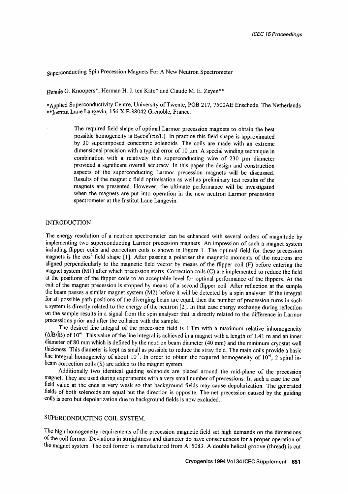Superconducting Spin Precession Magnets For A New Neutron Spectrometer

Hennie G. Knoopers\*, Herman H. J. ten Kate\* and Claude M. E. Zeven\*\*.

\*Applied Superconductivity Centre, University of Twente, POB 217, 7500AE Enschede, The Netherlands \*\*Institut Laue Langevin, 156 X F-38042 Grenoble, France.

> The required field shape of optimal Larmor precession magnets to obtain the best possible homogeneity is  $B_0 \cos^2(\pi z/L)$ . In practice this field shape is approximated by 30 superimposed concentric solenoids. The coils are made with an extreme dimensional precision with a typical error of  $10 \mu m$ . A special winding technique in combination with a relatively thin superconducting wire of  $230 \mu m$  diameter provided a significant overall accuracy. In this paper the design and construction aspects of the superconducting Larmor precession magnets will be discussed. Results of the magnetic field optimisation as well as preliminary test results of the magnets are presented. However, the ultimate performance will be investigated when the magnets are put into operation in the new neutron Larmor precession spectrometer at the Institut Laue Langevin.

### **INTRODUCTION**

The energy resolution of a neutron spectrometer can be enhanced with several orders of magnitude by implementing two superconducting Larmor precession magnets. An impression of such a magnet system including flipper coils and correction coils is shown in Figure 1. The optimal field for these precession magnets is the  $cos<sup>2</sup>$  field shape [1]. After passing a polariser the magnetic moments of the neutrons are aligned perpendicularly to the magnetic field vector by means of the flipper coil (F) before entering the magnet system (M1) after which precession starts. Correction coils (C) are implemented to reduce the field at the positions of the flipper coils to an acceptable level for optimal performance of the flippers. At the exit of the magnet precession is stopped by means of a second flipper coil. After reflection at the sample the beam passes a similar magnet system (M2) before it will be detected by a spin analyser. If the integral for all possible path positions of the diverging beam are equal, then the number of precession turns in such a system is directly related to the energy of the neutron [2]. In that case energy exchange during reflection on the sample results in a signal from the spin analyser that is directly related to the difference in Larmor precessions prior and after the collision with the sample.

The desired line integral of the precession field is 1 Tm with a maximum relative inhomogeneity  $(\Delta$ B/B) of 10<sup>-6</sup>. This value of the line integral is achieved in a magnet with a length of 1.41 m and an inner diameter of 80 mm which is defined by the neutron beam diameter (40 mm) and the minimum cryostat wall thickness. This diameter is kept as small as possible to reduce the stray field. The main coils provide a basic line integral homogeneity of about  $10^{-3}$ . In order to obtain the required homogeneity of  $10^{-6}$ , 2 spiral inbeam correction coils (S) are added to the magnet system.

Additionally two identical guiding solenoids are placed around the mid-plane of the precession magnet. They are used during experiments with a very small number of precessions. In such a case the  $\cos^2$ field value at the ends is very weak so that background fields may cause depolarization. The generated fields of both solenoids are equal but the direction is opposite. The net precession caused by the guiding coils is zero but depolarization due to background fields is now excluded.

# SUPERCONDUCTING COIL SYSTEM.

The high homogeneity requirements of the precession magnetic field set high demands on the dimensions of the coil former: Deviations in straightness and diameter do have consequences for a proper operation of the magnet system. The coil former is manufactured from AI 5083. A double helical groove (thread) is cut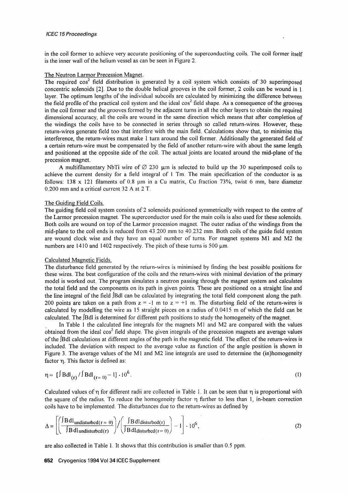in the coil former to achieve very accurate positioning of the superconducting coils. The coil former itself is the inner wall of the helium vessel as can be seen in Figure 2.

### The Neutron Larmor Precession Magnet.

The required  $cos<sup>2</sup>$  field distribution is generated by a coil system which consists of 30 superimposed concentric solenoids [2]. Due to the double helical grooves in the coil former, 2 coils can be wound in 1 layer. The optimum lengths of the individual subcoils are calculated by minimizing the difference between the field profile of the practical coil system and the ideal  $\cos^2$  field shape. As a consequence of the grooves in the coil former and the grooves formed by the adjacent turns in all the other layers to obtain the required dimensional accuracy, all the coils are wound in the same direction which means that atter completion of the windings the coils have to be connected in series through so called return-wires. However, these return-wires generate field too that interfere with the main field: Calculations show that, to minimise this interference, the return-wires must make 1 turn around the coil former. Additionally the generated field of a certain return-wire must be compensated by the field of another return-wire with about the same length and positioned at the opposite side of the coil. The actual joints are located around the mid-plane of the precession magnet.

A multifilamentary NbTi wire of  $\varnothing$  230  $\mu$ m is selected to build up the 30 superimposed coils to achieve the current density for a field integral of 1 Tm. The main specification of the conductor is as follows: 138 x 121 filaments of 0.8  $\mu$ m in a Cu matrix, Cu fraction 73%, twist 6 mm, bare diameter 0.200 mm and a critical current 32 A at 2 T.

### The Guiding Field Coils.

The guiding field coil system consists of 2 solenoids positioned symmetrically with respect to the centre of the Larmor precession magnet. The superconductor used for the main coils is also used for these solenoids. Both coils are wound on top of the Larmor precession magnet. The outer radius of the windings from the mid-plane to the coil ends is reduced from 43.200 mm to 40.232 mm. Both coils of the guide field system are wound clock wise and they have an equal number of turns. For magnet systems M1 and M2 the numbers are  $1410$  and  $1402$  respectively. The pitch of these turns is  $500 \mu m$ .

### Calculated Magnetic Fields.

The disturbance field generated by the return-wires is minimised by finding the best possible positions for these wires. The best configuration of the coils and the return-wires with minimal deviation of the primary model is worked out. The program simulates a neutron passing through the magnet system and calculates the total field and the components on its path in given points. These are positioned on a straight line and the line integral of the field j'Bdl can be calculated by integrating the total field component along the path. 200 points are taken on a path from  $z = -1$  m to  $z = +1$  m. The disturbing field of the return-wires is calculated by modelling the wire as 15 straight pieces on a radius of 0.0415 m of which the field can be calculated. The *IBdl* is determined for different path positions to study the homogeneity of the magnet.

In Table 1 the calculated line integrals for the magnets M1 and M2 are compared with the values obtained from the ideal  $cos<sup>2</sup>$  field shape. The given integrals of the precession magnets are average values of the  $[Bd]$  calculations at different angles of the path in the magnetic field. The effect of the return-wires is included. The deviation with respect to the average value as function of the angle position is shown in Figure 3. The average values of the M1 and M2 line integrals are used to determine the (in)homogeneity factor n. This factor is defined as:

$$
\eta = \left[\int \text{Bdl}_{(r)} / \int \text{Bdl}_{(r=0)} - 1\right] \cdot 10^6. \tag{1}
$$

Calculated values of  $\eta$  for different radii are collected in Table 1. It can be seen that  $\eta$  is proportional with the square of the radius. To reduce the homogeneity factor  $\eta$  further to less than 1, in-beam correction coils have to be implemented. The disturbances due to the return-wires as defined by

$$
\Delta = \left[ \left( \frac{\int B dl_{\text{undisturbed}}(r=0)}{\int B dl_{\text{undisturbed}}(r)} \right) / \left( \frac{\int B dl_{\text{disturbed}}(r)}{\int B dl_{\text{disturbed}}(r=0)} \right) - 1 \right] \cdot 10^6, \tag{2}
$$

are also collected in Table 1. It shows that this contribution is smaller than 0.5 ppm.

### 652 Cryogenics 1994 Vo134 ICEC Supplement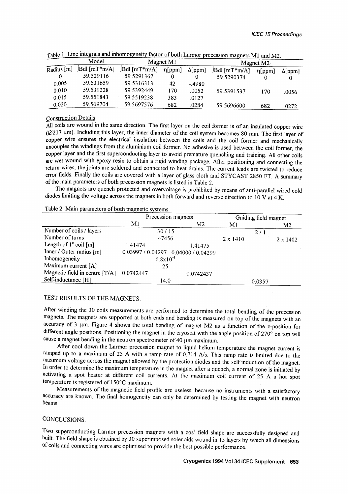|              | Model<br>JBdl [mT*m/A] | Magnet $M1$     |              |                | Magnet M <sub>2</sub> |              |                |
|--------------|------------------------|-----------------|--------------|----------------|-----------------------|--------------|----------------|
| Radius $[m]$ |                        | $JBdl$ [mT*m/A] | $\eta$ [ppm] | $\Delta$ [ppm] | Bdl [mT*m/A]          | $\eta$ [ppm] | $\Delta$ [ppm] |
|              | 59.529116              | 59.5291367      |              |                | 59.5290374            | 0            |                |
| 0.005        | 59.531659              | 59.5316313      | 42           | - 4980         |                       |              |                |
| 0.010        | 59.539228              | 59.5392449      | 170          | .0052          | 59.5391537            | 170          | .0056          |
| 0.015        | 59.551843              | 59.5519238      | 383          | .0127          |                       |              |                |
| 0.020        | 59.569704              | 59.5697576      | 682          | .0284          | 59.5696600            | 682          | .0272          |

| Table 1. Line integrals and inhomogeneity factor of both Larmor precession magnets M1 and M2. |  |
|-----------------------------------------------------------------------------------------------|--|
|-----------------------------------------------------------------------------------------------|--|

# Construction Details

All coils are wound in the same direction. The first layer on the coil former is of an insulated copper wire (Ø217 um). Including this layer, the inner diameter of the coil system becomes 80 mm. The first layer of copper wire ensures the electrical insulation between the coils and the coil former and mechanically uncouples the windings from the aluminium coil former. No adhesive is used between the coil former, the copper layer and the first superconducting layer to avoid premature quenching and training. All other coils are wet wound with epoxy resin to obtain a rigid winding package. After positioning and connecting the return-wires, the joints are soldered and connected to heat drains. The current leads are twisted to reduce error fields. Finally the coils are covered with a layer of glass-cloth and STYCAST 2850 FT. A summary of the main parameters of both precession magnets is listed in Table 2.

The magnets are quench protected and overvoltage is prohibited by means of anti-parallel wired cold diodes limiting the voltage across the magnets in both forward and reverse direction to 10 V at 4 K.

# Table 2. Main parameters of both magnetic systems.

|                                  | Precession magnets                  |    |           | Guiding field magnet |  |                 |
|----------------------------------|-------------------------------------|----|-----------|----------------------|--|-----------------|
|                                  | M <sub>l</sub>                      |    | M2        | M1                   |  | M <sub>2</sub>  |
| Number of coils / layers         | 30/15                               |    |           | 2/1                  |  |                 |
| Number of turns                  | 47456                               |    |           | $2 \times 1410$      |  | $2 \times 1402$ |
| Length of $1^{\circ}$ coil $[m]$ | 1.41474                             |    | 1.41475   |                      |  |                 |
| Inner / Outer radius [m]         | 0.03997 / 0.04297 0.04000 / 0.04299 |    |           |                      |  |                 |
| Inhomogeneity                    | $6.8x10^{-4}$                       |    |           |                      |  |                 |
| Maximum current [A]              |                                     | 25 |           |                      |  |                 |
| Magnetic field in centre [T/A]   | 0.0742447                           |    | 0.0742437 |                      |  |                 |
| Self-inductance [H]              | 14.0                                |    |           | 0.0357               |  |                 |

# TEST RESULTS OF THE MAGNETS.

After winding the 30 coils measurements are performed to determine the total bending of the precession magnets. The magnets are supported at both ends and bending is measured on top of the magnets with an accuracy of 3  $\mu$ m. Figure 4 shows the total bending of magnet M2 as a function of the z-position for different angle positions. Positioning the magnet in the cryostat with the angle position of 270° on top will cause a magnet bending in the neutron spectrometer of 40  $\mu$ m maximum.

After cool down the Larmor precession magnet to liquid helium temperature the magnet current is ramped up to a maximum of 25 A with a ramp rate of 0.714 A/s. This ramp rate is limited due to the maximum voltage across the magnet allowed by the protection diodes and the self induction of the magnet. In order to determine the maximum temperature in the magnet after a quench, a normal zone is initiated by activating a spot heater at different coil currents. At the maximum coil current of 25 A a hot spot temperature is registered of 150°C maximum.

Measurements of the magnetic field profile are useless, because no instruments with a satisfactory accuracy are known. The final homogeneity can only be determined by testing the magnet with neutron beams.

# CONCLUSIONS.

Two superconducting Larmor precession magnets with a cos<sup>2</sup> field shape are successfully designed and built. The field shape is obtained by 30 superimposed solenoids wound in 15 layers by which all dimensions of coils and connecting wires are optimised to provide the best possible performance.